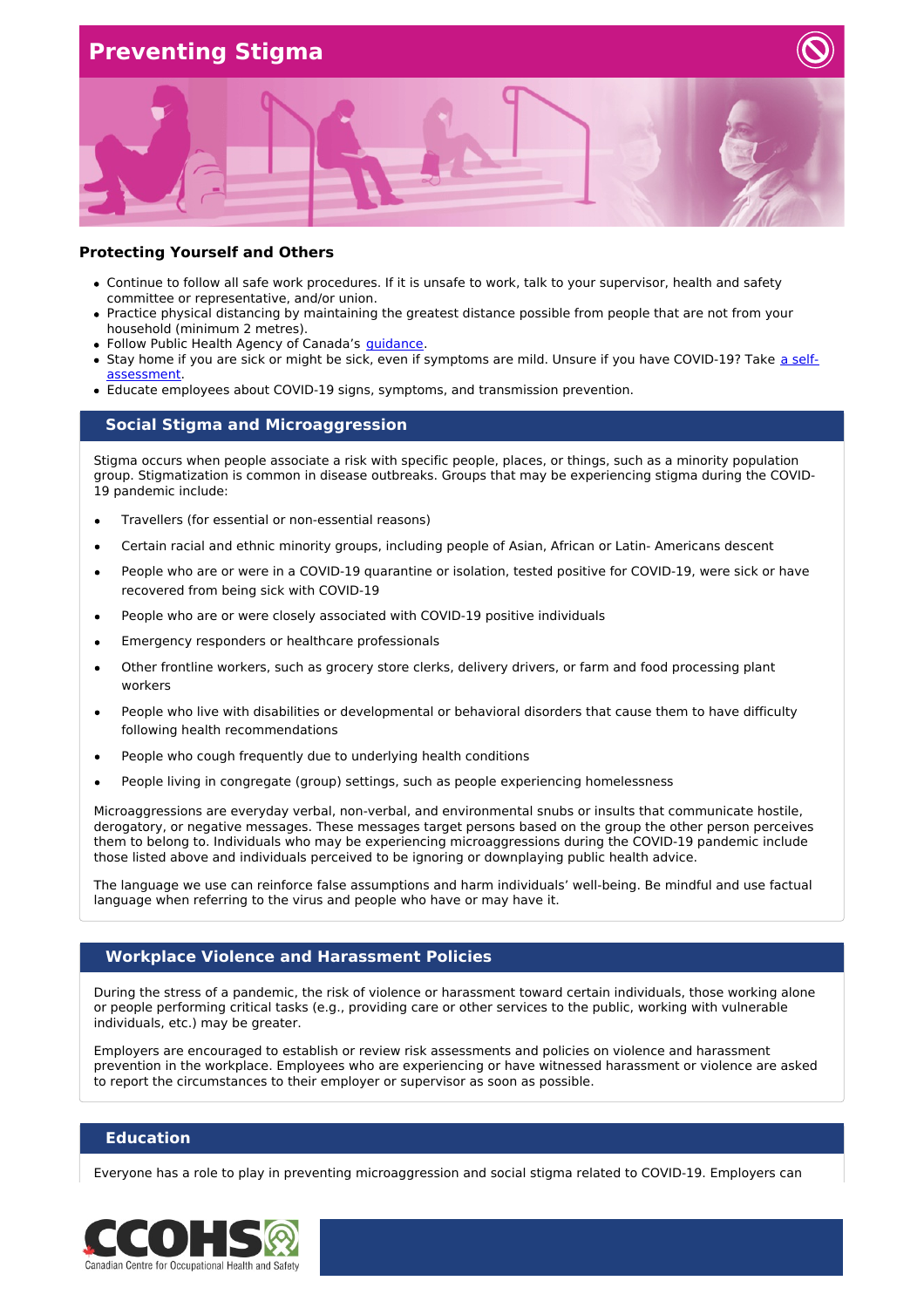## **Preventing Stigma**



#### **Protecting Yourself and Others**

- Continue to follow all safe work procedures. If it is unsafe to work, talk to your supervisor, health and safety committee or representative, and/or union.
- Practice physical distancing by maintaining the greatest distance possible from people that are not from your household (minimum 2 metres).
- Follow Public Health Agency of Canada's *[guidance](https://www.canada.ca/coronavirus)*.
- Stay home if you are sick or might be sick, even if symptoms are mild. Unsure if you have COVID-19? Take a self[assessment.](https://ca.thrive.health/covid19/en)
- Educate employees about COVID-19 signs, symptoms, and transmission prevention.

### **Social Stigma and Microaggression**

Stigma occurs when people associate a risk with specific people, places, or things, such as a minority population group. Stigmatization is common in disease outbreaks. Groups that may be experiencing stigma during the COVID-19 pandemic include:

- Travellers (for essential or non-essential reasons)
- Certain racial and ethnic minority groups, including people of Asian, African or Latin- Americans descent
- People who are or were in a COVID-19 quarantine or isolation, tested positive for COVID-19, were sick or have recovered from being sick with COVID-19
- People who are or were closely associated with COVID-19 positive individuals
- Emergency responders or healthcare professionals
- Other frontline workers, such as grocery store clerks, delivery drivers, or farm and food processing plant workers
- People who live with disabilities or developmental or behavioral disorders that cause them to have difficulty following health recommendations
- People who cough frequently due to underlying health conditions
- People living in congregate (group) settings, such as people experiencing homelessness

Microaggressions are everyday verbal, non-verbal, and environmental snubs or insults that communicate hostile, derogatory, or negative messages. These messages target persons based on the group the other person perceives them to belong to. Individuals who may be experiencing microaggressions during the COVID-19 pandemic include those listed above and individuals perceived to be ignoring or downplaying public health advice.

The language we use can reinforce false assumptions and harm individuals' well-being. Be mindful and use factual language when referring to the virus and people who have or may have it.

### **Workplace Violence and Harassment Policies**

During the stress of a pandemic, the risk of violence or harassment toward certain individuals, those working alone or people performing critical tasks (e.g., providing care or other services to the public, working with vulnerable individuals, etc.) may be greater.

Employers are encouraged to establish or review risk assessments and policies on violence and harassment prevention in the workplace. Employees who are experiencing or have witnessed harassment or violence are asked to report the circumstances to their employer or supervisor as soon as possible.

### **Education**

Everyone has a role to play in preventing microaggression and social stigma related to COVID-19. Employers can

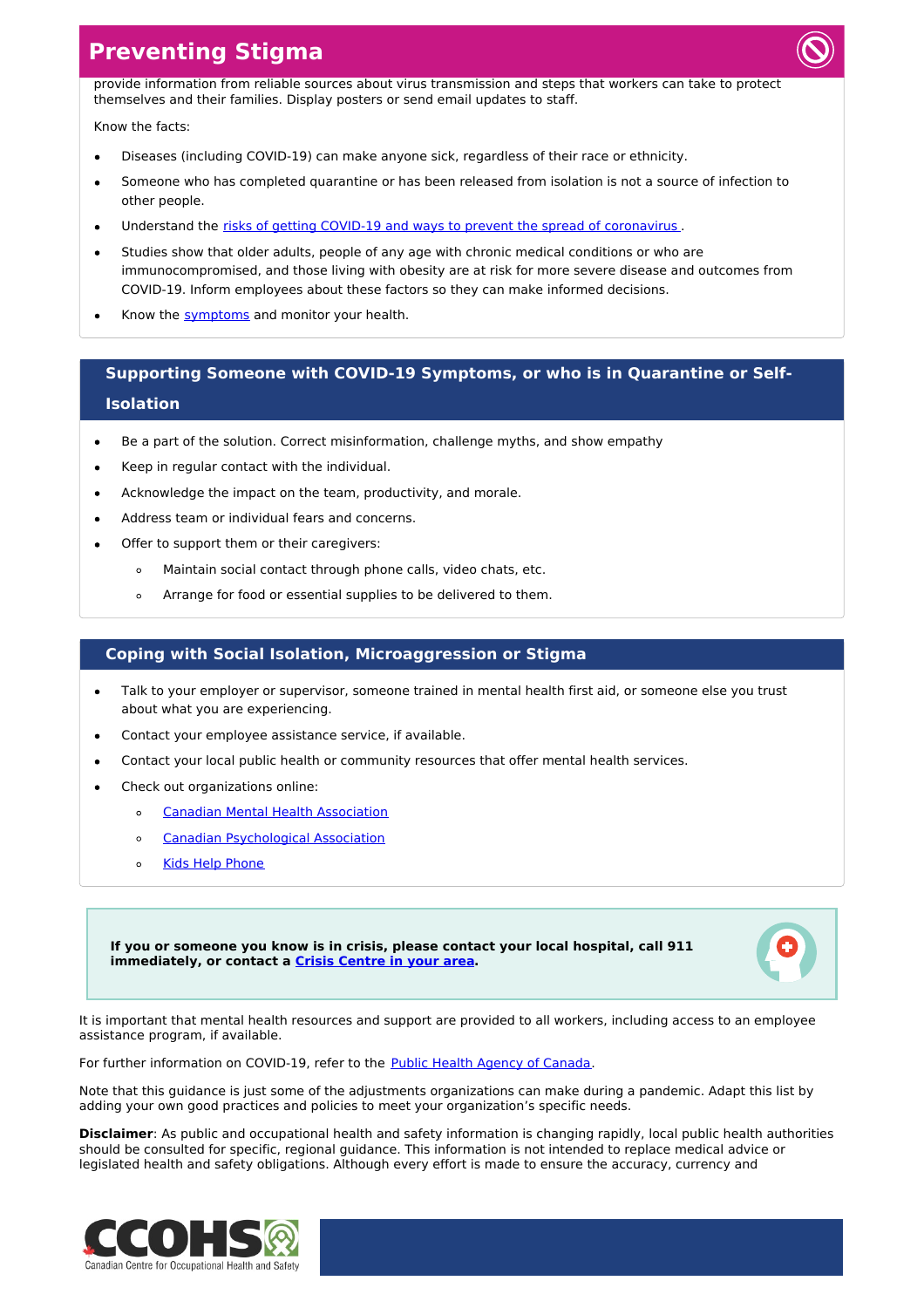## **Preventing Stigma**



provide information from reliable sources about virus transmission and steps that workers can take to protect themselves and their families. Display posters or send email updates to staff.

#### Know the facts:

- Diseases (including COVID-19) can make anyone sick, regardless of their race or ethnicity.
- Someone who has completed quarantine or has been released from isolation is not a source of infection to other people.
- Understand the risks of getting COVID-19 and ways to prevent the spread of [coronavirus](https://www.canada.ca/en/public-health/services/diseases/2019-novel-coronavirus-infection/prevention-risks.html#p) .
- Studies show that older adults, people of any age with chronic medical conditions or who are immunocompromised, and those living with obesity are at risk for more severe disease and outcomes from COVID-19. Inform employees about these factors so they can make informed decisions.
- Know the **[symptoms](https://www.canada.ca/en/public-health/services/diseases/2019-novel-coronavirus-infection/symptoms.html#s)** and monitor your health.

## **Supporting Someone with COVID-19 Symptoms, or who is in Quarantine or Self-Isolation**

- Be a part of the solution. Correct misinformation, challenge myths, and show empathy
- Keep in regular contact with the individual.
- Acknowledge the impact on the team, productivity, and morale.
- Address team or individual fears and concerns.
- Offer to support them or their caregivers:
	- $\circ$ Maintain social contact through phone calls, video chats, etc.
	- Arrange for food or essential supplies to be delivered to them.  $\Delta$

### **Coping with Social Isolation, Microaggression or Stigma**

- Talk to your employer or supervisor, someone trained in mental health first aid, or someone else you trust  $\bullet$ about what you are experiencing.
- Contact your employee assistance service, if available.
- Contact your local public health or community resources that offer mental health services.
- Check out organizations online:
	- Canadian Mental Health [Association](https://cmha.ca/news/covid-19-and-mental-health)  $\circ$
	- Canadian [Psychological](https://cpa.ca/psychologyfactsheets/) Association  $\circ$
	- Kids Help [Phone](https://kidshelpphone.ca/get-info/were-here-for-you-during-covid-19-novel-coronavirus/)  $\circ$

**If you or someone you know is in crisis, please contact your local hospital, call 911 immediately, or contact a Crisis [Centre](https://www.canada.ca/en/public-health/services/mental-health-services/mental-health-get-help.html) in your area.**



It is important that mental health resources and support are provided to all workers, including access to an employee assistance program, if available.

For further information on COVID-19, refer to the Public Health Agency of [Canada](https://www.canada.ca/coronavirus).

Note that this guidance is just some of the adjustments organizations can make during a pandemic. Adapt this list by adding your own good practices and policies to meet your organization's specific needs.

**Disclaimer**: As public and occupational health and safety information is changing rapidly, local public health authorities should be consulted for specific, regional guidance. This information is not intended to replace medical advice or legislated health and safety obligations. Although every effort is made to ensure the accuracy, currency and